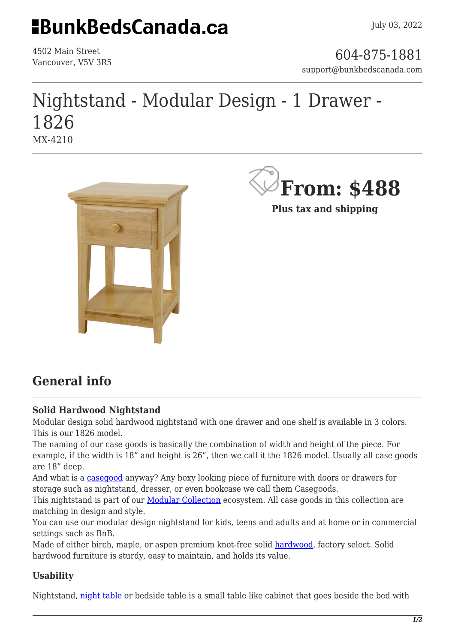## **EBunkBedsCanada.ca**

4502 Main Street

4502 Main Street<br>Vancouver, V5V 3R5 support@bunkbedscanada.com

### Nightstand - Modular Design - 1 Drawer - 1826 MX-4210





**Plus tax and shipping**

### **General info**

### **Solid Hardwood Nightstand**

Modular design solid hardwood nightstand with one drawer and one shelf is available in 3 colors. This is our 1826 model.

The naming of our case goods is basically the combination of width and height of the piece. For example, if the width is 18" and height is 26", then we call it the 1826 model. Usually all case goods are 18" deep.

And what is a [casegood](https://en.wikipedia.org/wiki/Cabinetry) anyway? Any boxy looking piece of furniture with doors or drawers for storage such as nightstand, dresser, or even bookcase we call them Casegoods.

This nightstand is part of our **Modular Collection** ecosystem. All case goods in this collection are matching in design and style.

You can use our modular design nightstand for kids, teens and adults and at home or in commercial settings such as BnB.

Made of either birch, maple, or aspen premium knot-free solid [hardwood,](https://en.wikipedia.org/wiki/Hardwood) factory select. Solid hardwood furniture is sturdy, easy to maintain, and holds its value.

### **Usability**

Nightstand, [night table](https://en.wikipedia.org/wiki/Nightstand) or bedside table is a small table like cabinet that goes beside the bed with